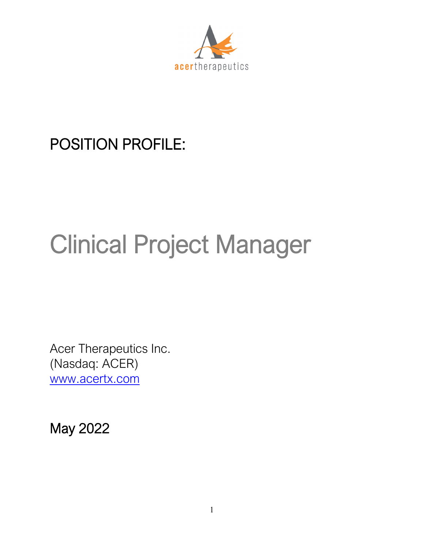

# POSITION PROFILE:

# Clinical Project Manager

Acer Therapeutics Inc. (Nasdaq: ACER) [www.acertx.com](http://www.acertx.com/)

May 2022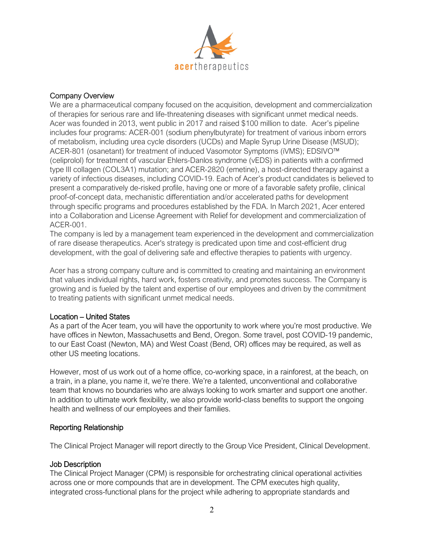

#### Company Overview

We are a pharmaceutical company focused on the acquisition, development and commercialization of therapies for serious rare and life-threatening diseases with significant unmet medical needs. Acer was founded in 2013, went public in 2017 and raised \$100 million to date. Acer's pipeline includes four programs: ACER-001 (sodium phenylbutyrate) for treatment of various inborn errors of metabolism, including urea cycle disorders (UCDs) and Maple Syrup Urine Disease (MSUD); ACER-801 (osanetant) for treatment of induced Vasomotor Symptoms (iVMS); EDSIVO™ (celiprolol) for treatment of vascular Ehlers-Danlos syndrome (vEDS) in patients with a confirmed type III collagen (COL3A1) mutation; and ACER-2820 (emetine), a host-directed therapy against a variety of infectious diseases, including COVID-19. Each of Acer's product candidates is believed to present a comparatively de-risked profile, having one or more of a favorable safety profile, clinical proof-of-concept data, mechanistic differentiation and/or accelerated paths for development through specific programs and procedures established by the FDA. In March 2021, Acer entered into a Collaboration and License Agreement with Relief for development and commercialization of ACER-001.

The company is led by a management team experienced in the development and commercialization of rare disease therapeutics. Acer's strategy is predicated upon time and cost-efficient drug development, with the goal of delivering safe and effective therapies to patients with urgency.

Acer has a strong company culture and is committed to creating and maintaining an environment that values individual rights, hard work, fosters creativity, and promotes success. The Company is growing and is fueled by the talent and expertise of our employees and driven by the commitment to treating patients with significant unmet medical needs.

#### Location – United States

As a part of the Acer team, you will have the opportunity to work where you're most productive. We have offices in Newton, Massachusetts and Bend, Oregon. Some travel, post COVID-19 pandemic, to our East Coast (Newton, MA) and West Coast (Bend, OR) offices may be required, as well as other US meeting locations.

However, most of us work out of a home office, co-working space, in a rainforest, at the beach, on a train, in a plane, you name it, we're there. We're a talented, unconventional and collaborative team that knows no boundaries who are always looking to work smarter and support one another. In addition to ultimate work flexibility, we also provide world-class benefits to support the ongoing health and wellness of our employees and their families.

#### Reporting Relationship

The Clinical Project Manager will report directly to the Group Vice President, Clinical Development.

## Job Description

The Clinical Project Manager (CPM) is responsible for orchestrating clinical operational activities across one or more compounds that are in development. The CPM executes high quality, integrated cross-functional plans for the project while adhering to appropriate standards and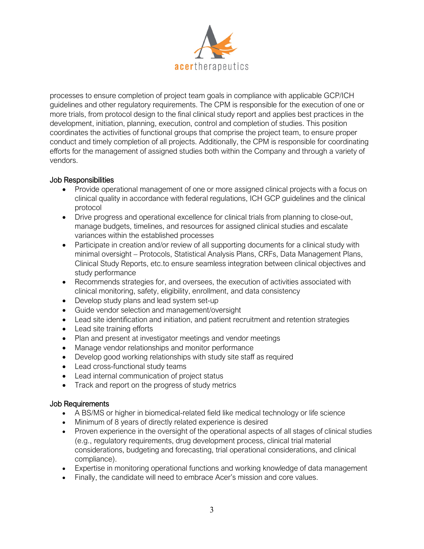

processes to ensure completion of project team goals in compliance with applicable GCP/ICH guidelines and other regulatory requirements. The CPM is responsible for the execution of one or more trials, from protocol design to the final clinical study report and applies best practices in the development, initiation, planning, execution, control and completion of studies. This position coordinates the activities of functional groups that comprise the project team, to ensure proper conduct and timely completion of all projects. Additionally, the CPM is responsible for coordinating efforts for the management of assigned studies both within the Company and through a variety of vendors.

## Job Responsibilities

- Provide operational management of one or more assigned clinical projects with a focus on clinical quality in accordance with federal regulations, ICH GCP guidelines and the clinical protocol
- Drive progress and operational excellence for clinical trials from planning to close-out, manage budgets, timelines, and resources for assigned clinical studies and escalate variances within the established processes
- Participate in creation and/or review of all supporting documents for a clinical study with minimal oversight – Protocols, Statistical Analysis Plans, CRFs, Data Management Plans, Clinical Study Reports, etc.to ensure seamless integration between clinical objectives and study performance
- Recommends strategies for, and oversees, the execution of activities associated with clinical monitoring, safety, eligibility, enrollment, and data consistency
- Develop study plans and lead system set-up
- Guide vendor selection and management/oversight
- Lead site identification and initiation, and patient recruitment and retention strategies
- Lead site training efforts
- Plan and present at investigator meetings and vendor meetings
- Manage vendor relationships and monitor performance
- Develop good working relationships with study site staff as required
- Lead cross-functional study teams
- Lead internal communication of project status
- Track and report on the progress of study metrics

#### Job Requirements

- A BS/MS or higher in biomedical-related field like medical technology or life science
- Minimum of 8 years of directly related experience is desired
- Proven experience in the oversight of the operational aspects of all stages of clinical studies (e.g., regulatory requirements, drug development process, clinical trial material considerations, budgeting and forecasting, trial operational considerations, and clinical compliance).
- Expertise in monitoring operational functions and working knowledge of data management
- Finally, the candidate will need to embrace Acer's mission and core values.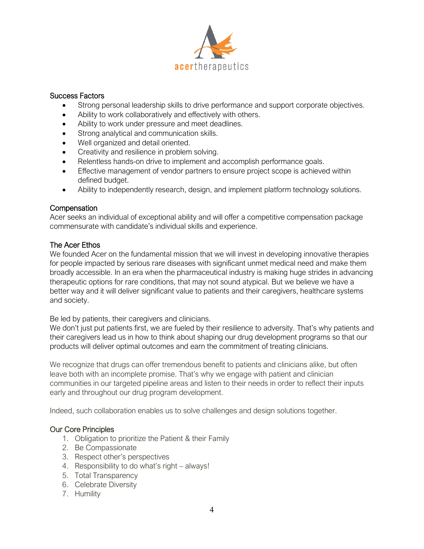

#### Success Factors

- Strong personal leadership skills to drive performance and support corporate objectives.
- Ability to work collaboratively and effectively with others.
- Ability to work under pressure and meet deadlines.
- Strong analytical and communication skills.
- Well organized and detail oriented.
- Creativity and resilience in problem solving.
- Relentless hands-on drive to implement and accomplish performance goals.
- Effective management of vendor partners to ensure project scope is achieved within defined budget.
- Ability to independently research, design, and implement platform technology solutions.

#### **Compensation**

Acer seeks an individual of exceptional ability and will offer a competitive compensation package commensurate with candidate's individual skills and experience.

#### The Acer Ethos

We founded Acer on the fundamental mission that we will invest in developing innovative therapies for people impacted by serious rare diseases with significant unmet medical need and make them broadly accessible. In an era when the pharmaceutical industry is making huge strides in advancing therapeutic options for rare conditions, that may not sound atypical. But we believe we have a better way and it will deliver significant value to patients and their caregivers, healthcare systems and society.

#### Be led by patients, their caregivers and clinicians.

We don't just put patients first, we are fueled by their resilience to adversity. That's why patients and their caregivers lead us in how to think about shaping our drug development programs so that our products will deliver optimal outcomes and earn the commitment of treating clinicians.

We recognize that drugs can offer tremendous benefit to patients and clinicians alike, but often leave both with an incomplete promise. That's why we engage with patient and clinician communities in our targeted pipeline areas and listen to their needs in order to reflect their inputs early and throughout our drug program development.

Indeed, such collaboration enables us to solve challenges and design solutions together.

#### Our Core Principles

- 1. Obligation to prioritize the Patient & their Family
- 2. Be Compassionate
- 3. Respect other's perspectives
- 4. Responsibility to do what's right always!
- 5. Total Transparency
- 6. Celebrate Diversity
- 7. Humility